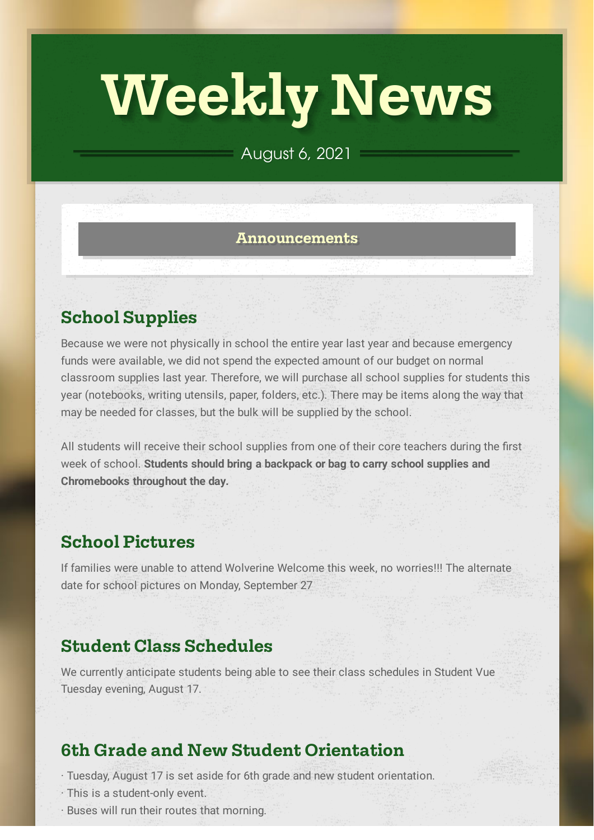# **Weekly News**

## August 6, 2021

#### **Announcements**

# **School Supplies**

Because we were not physically in school the entire year last year and because emergency funds were available, we did not spend the expected amount of our budget on normal classroom supplies last year. Therefore, we will purchase all school supplies for students this year (notebooks, writing utensils, paper, folders, etc.). There may be items along the way that may be needed for classes, but the bulk will be supplied by the school.

All students will receive their school supplies from one of their core teachers during the first week of school. **Students should bring a backpack or bag to carry school supplies and Chromebooks throughout the day.**

# **School Pictures**

If families were unable to attend Wolverine Welcome this week, no worries!!! The alternate date for school pictures on Monday, September 27

## **Student Class Schedules**

We currently anticipate students being able to see their class schedules in Student Vue Tuesday evening, August 17.

# **6th Grade and New Student Orientation**

- · Tuesday, August 17 is set aside for 6th grade and new student orientation.
- · This is a student-only event.
- · Buses will run their routes that morning.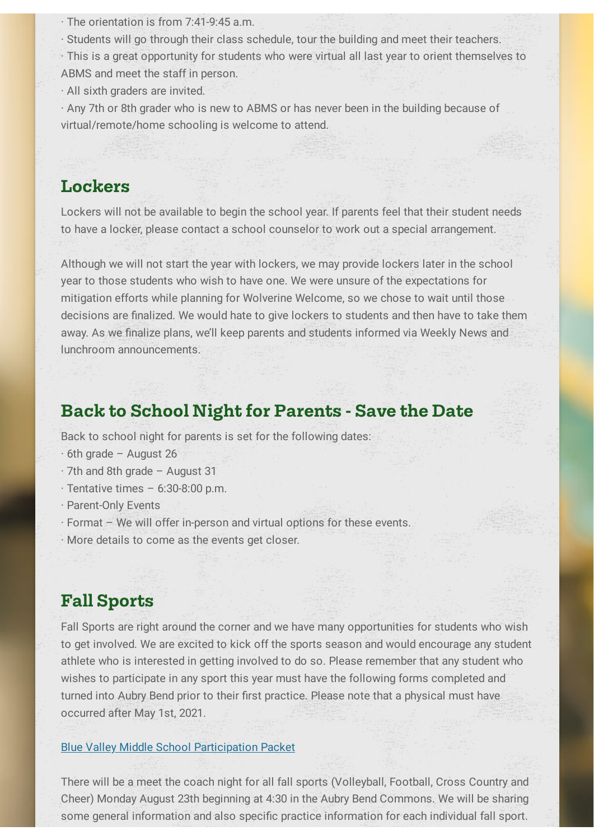· The orientation is from 7:41-9:45 a.m.

· Students will go through their class schedule, tour the building and meet their teachers.

· This is a great opportunity for students who were virtual all last year to orient themselves to ABMS and meet the staff in person.

· All sixth graders are invited.

· Any 7th or 8th grader who is new to ABMS or has never been in the building because of virtual/remote/home schooling is welcome to attend.

## **Lockers**

Lockers will not be available to begin the school year. If parents feel that their student needs to have a locker, please contact a school counselor to work out a special arrangement.

Although we will not start the year with lockers, we may provide lockers later in the school year to those students who wish to have one. We were unsure of the expectations for mitigation efforts while planning for Wolverine Welcome, so we chose to wait until those decisions are finalized. We would hate to give lockers to students and then have to take them away. As we finalize plans, we'll keep parents and students informed via Weekly News and lunchroom announcements.

## **Back** to School Night for Parents - Save the Date

Back to school night for parents is set for the following dates:

- · 6th grade August 26
- · 7th and 8th grade August 31
- · Tentative times 6:30-8:00 p.m.
- · Parent-Only Events
- · Format We will offer in-person and virtual options for these events.

· More details to come as the events get closer.

## **Fall Sports**

Fall Sports are right around the corner and we have many opportunities for students who wish to get involved. We are excited to kick off the sports season and would encourage any student athlete who is interested in getting involved to do so. Please remember that any student who wishes to participate in any sport this year must have the following forms completed and turned into Aubry Bend prior to their first practice. Please note that a physical must have occurred after May 1st, 2021.

#### Blue Valley Middle School [Participation](https://www.bluevalleyk12.org/cms/lib/ks02212623/Centricity/Domain/4501/Participation%20Packet%20for%20Middle%20School%20Students%202021-22.pdf) Packet

There will be a meet the coach night for all fall sports (Volleyball, Football, Cross Country and Cheer) Monday August 23th beginning at 4:30 in the Aubry Bend Commons. We will be sharing some general information and also specific practice information for each individual fall sport.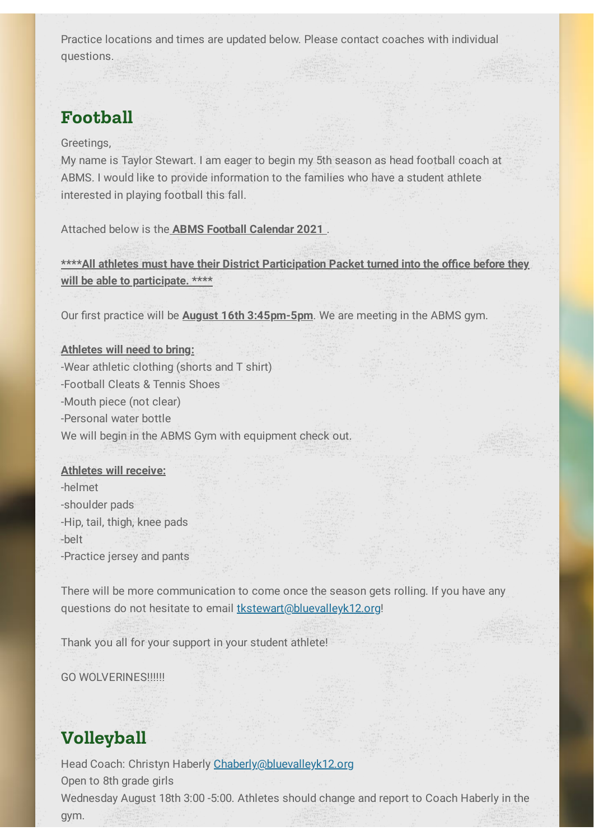Practice locations and times are updated below. Please contact coaches with individual questions.

# **Football**

Greetings,

My name is Taylor Stewart. I am eager to begin my 5th season as head football coach at ABMS. I would like to provide information to the families who have a student athlete interested in playing football this fall.

Attached below is the **ABMS Football Calendar 2021** .

**\*\*\*\*All athletes must have their District Participation Packet turned into the office before they will be able to participate. \*\*\*\***

Our first practice will be **August 16th 3:45pm-5pm**. We are meeting in the ABMS gym.

#### **Athletes will need to bring:**

-Wear athletic clothing (shorts and T shirt) -Football Cleats & Tennis Shoes -Mouth piece (not clear) -Personal water bottle We will begin in the ABMS Gym with equipment check out.

#### **Athletes will receive:**

-helmet -shoulder pads -Hip, tail, thigh, knee pads -belt -Practice jersey and pants

There will be more communication to come once the season gets rolling. If you have any questions do not hesitate to email [tkstewart@bluevalleyk12.org!](mailto:tkstewart@bluevalleyk12.org)

Thank you all for your support in your student athlete!

GO WOLVERINES!!!!!!

# **Volleyball**

Head Coach: Christyn Haberly [Chaberly@bluevalleyk12.org](mailto:Chaberly@bluevalleyk12.org) Open to 8th grade girls Wednesday August 18th 3:00 -5:00. Athletes should change and report to Coach Haberly in the gym.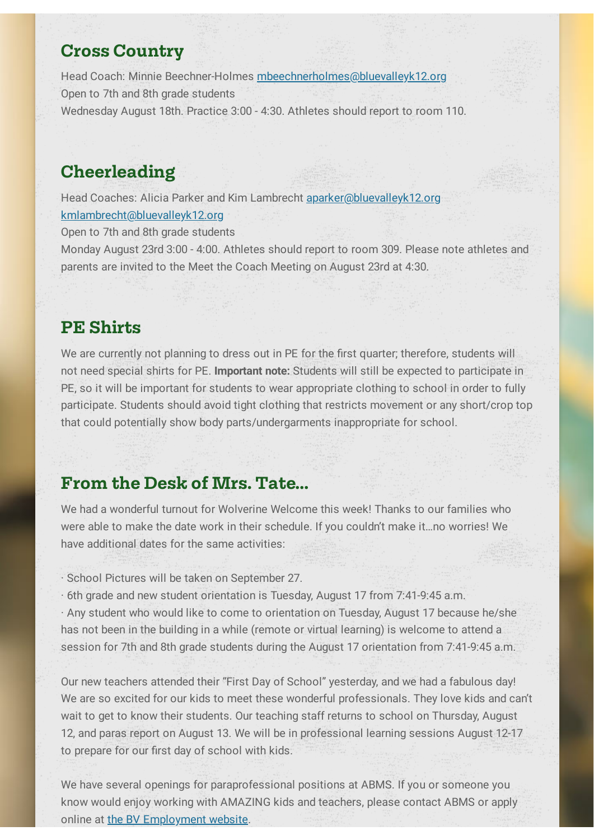## **Cross Country**

Head Coach: Minnie Beechner-Holmes [mbeechnerholmes@bluevalleyk12.org](mailto:mbeechnerholmes@bluevalleyk12.org) Open to 7th and 8th grade students Wednesday August 18th. Practice 3:00 - 4:30. Athletes should report to room 110.

# **Cheerleading**

Head Coaches: Alicia Parker and Kim Lambrecht [aparker@bluevalleyk12.org](mailto:aparker@bluevalleyk12.org) [kmlambrecht@bluevalleyk12.org](mailto:kmlambrecht@bluevalleyk12.org)

Open to 7th and 8th grade students

Monday August 23rd 3:00 - 4:00. Athletes should report to room 309. Please note athletes and parents are invited to the Meet the Coach Meeting on August 23rd at 4:30.

### **PE Shirts**

We are currently not planning to dress out in PE for the first quarter; therefore, students will not need special shirts for PE. **Important note:** Students will still be expected to participate in PE, so it will be important for students to wear appropriate clothing to school in order to fully participate. Students should avoid tight clothing that restricts movement or any short/crop top that could potentially show body parts/undergarments inappropriate for school.

## **From the Desk of Mrs. Tate...**

We had a wonderful turnout for Wolverine Welcome this week! Thanks to our families who were able to make the date work in their schedule. If you couldn't make it…no worries! We have additional dates for the same activities:

· School Pictures will be taken on September 27.

· 6th grade and new student orientation is Tuesday, August 17 from 7:41-9:45 a.m.

· Any student who would like to come to orientation on Tuesday, August 17 because he/she has not been in the building in a while (remote or virtual learning) is welcome to attend a session for 7th and 8th grade students during the August 17 orientation from 7:41-9:45 a.m.

Our new teachers attended their "First Day of School" yesterday, and we had a fabulous day! We are so excited for our kids to meet these wonderful professionals. They love kids and can't wait to get to know their students. Our teaching staff returns to school on Thursday, August 12, and paras report on August 13. We will be in professional learning sessions August 12-17 to prepare for our first day of school with kids.

We have several openings for paraprofessional positions at ABMS. If you or someone you know would enjoy working with AMAZING kids and teachers, please contact ABMS or apply online at the BV [Employment](https://www.bluevalleyk12.org/site/Default.aspx?PageID=34396) website.